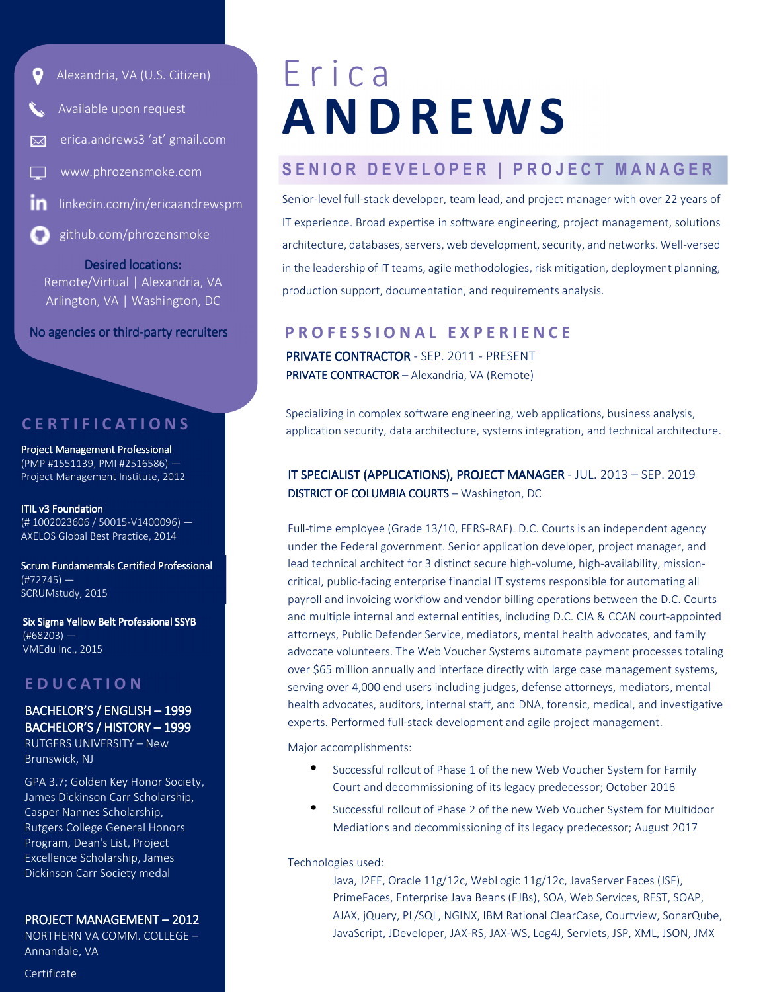

- Available upon request
- erica.andrews3 'at' gmail.com

www.phrozensmoke.com

linkedin.com/in/ericaandrewspm

github.com/phrozensmoke

Desired locations: Remote/Virtual | Alexandria, VA Arlington, VA | Washington, DC

No agencies or third-party recruiters

# **C E R T I F I C A T I O N S**

Project Management Professional (PMP #1551139, PMI #2516586) ― Project Management Institute, 2012

ITIL v3 Foundation (# 1002023606 / 50015-V1400096) ― AXELOS Global Best Practice, 2014

Scrum Fundamentals Certified Professional  $(#72745)$  – SCRUMstudy, 2015

Six Sigma Yellow Belt Professional SSYB (#68203) ― VMEdu Inc., 2015

# **E D U C A T I O N**

# BACHELOR'S / ENGLISH – 1999 BACHELOR'S / HISTORY –1999

RUTGERS UNIVERSITY – New Brunswick, NJ

GPA 3.7; Golden Key Honor Society, James Dickinson Carr Scholarship, Casper Nannes Scholarship, Rutgers College General Honors Program, Dean's List, Project Excellence Scholarship, James Dickinson Carr Society medal

#### PROJECT MANAGEMENT – 2012

NORTHERN VA COMM. COLLEGE – Annandale, VA

#### Certificate

# E r i c a **A N D R E W S**

# SENIOR DEVELOPER | PROJECT MANAGER

Senior-level full-stack developer, team lead, and project manager with over 22 years of IT experience. Broad expertise in software engineering, project management, solutions architecture, databases, servers, web development, security, and networks. Well-versed in the leadership of IT teams, agile methodologies, risk mitigation, deployment planning, production support, documentation, and requirements analysis.

# **P R O F E S S I O N A L E X P E R I E N C E**

PRIVATE CONTRACTOR - SEP. 2011 - PRESENT PRIVATE CONTRACTOR - Alexandria, VA (Remote)

Specializing in complex software engineering, web applications, business analysis, application security, data architecture, systems integration, and technical architecture.

## IT SPECIALIST (APPLICATIONS), PROJECT MANAGER - JUL. 2013 – SEP. 2019 DISTRICT OF COLUMBIA COURTS - Washington, DC

Full-time employee (Grade 13/10, FERS-RAE). D.C. Courts is an independent agency under the Federal government. Senior application developer, project manager, and lead technical architect for 3 distinct secure high-volume, high-availability, missioncritical, public-facing enterprise financial IT systems responsible for automating all payroll and invoicing workflow and vendor billing operations between the D.C. Courts and multiple internal and external entities, including D.C. CJA & CCAN court-appointed attorneys, Public Defender Service, mediators, mental health advocates, and family advocate volunteers. The Web Voucher Systems automate payment processes totaling over \$65 million annually and interface directly with large case management systems, serving over 4,000 end users including judges, defense attorneys, mediators, mental health advocates, auditors, internal staff, and DNA, forensic, medical, and investigative experts. Performed full-stack development and agile project management.

Major accomplishments:

- Successful rollout of Phase 1 of the new Web Voucher System for Family Court and decommissioning of its legacy predecessor; October 2016
- Successful rollout of Phase 2 of the new Web Voucher System for Multidoor Mediations and decommissioning of its legacy predecessor; August 2017

Technologies used:

Java, J2EE, Oracle 11g/12c, WebLogic 11g/12c, JavaServer Faces (JSF), PrimeFaces, Enterprise Java Beans (EJBs), SOA, Web Services, REST, SOAP, AJAX, jQuery, PL/SQL, NGINX, IBM Rational ClearCase, Courtview, SonarQube, JavaScript, JDeveloper, JAX-RS, JAX-WS, Log4J, Servlets, JSP, XML, JSON, JMX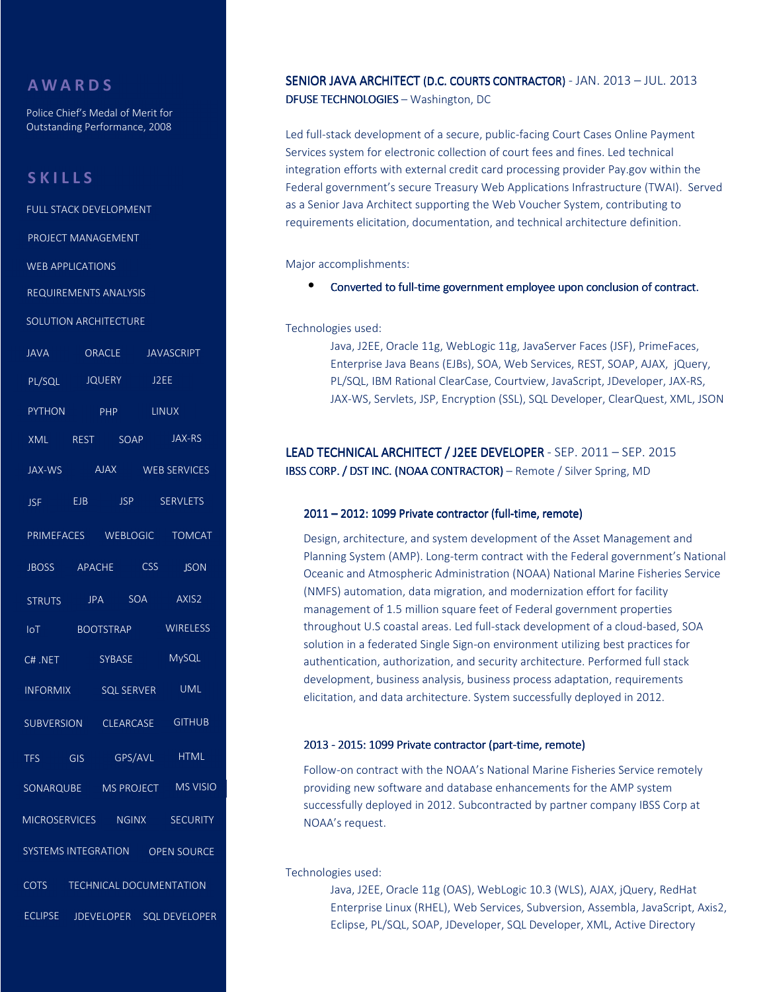# **A W A R D S**

Police Chief's Medal of Merit for Outstanding Performance, 2008

# **S K I L L S**

FULL STACK DEVELOPMENT PROJECT MANAGEMENT WEB APPLICATIONS REQUIREMENTS ANALYSIS JAVA ORACLE JAVASCRIPT PL/SQL JQUERY WEB SERVICES PYTHON PHP LINUX XML REST SOAP JAX-RS JAX-WS J2EE BOOTSTRAP IoT WIRELESS AJAX MICROSERVICES **WEBLOGIC** JBOSS APACHE CSS JSON TOMCAT PRIMEFACES JSF EJB STRUTS **SECURITY** C# .NET SYBASE MySQL INFORMIX SQL SERVER JPA AXIS2 SUBVERSION CLEARCASE GITHUB TFS CLEARCASE SONARQUBE UML MS PROJECT MS VISIO SOLUTION ARCHITECTURE SOA CSS HTML NGINX GIS GPS/AVL JSP SERVLETS SYSTEMS INTEGRATION COTS OPEN SOURCE TECHNICAL DOCUMENTATION ECLIPSE JDEVELOPER SQL DEVELOPER

### SENIOR JAVA ARCHITECT (D.C. COURTS CONTRACTOR) - JAN. 2013 - JUL. 2013 DFUSE TECHNOLOGIES - Washington, DC

Led full-stack development of a secure, public-facing Court Cases Online Payment Services system for electronic collection of court fees and fines. Led technical integration efforts with external credit card processing provider Pay.gov within the Federal government's secure Treasury Web Applications Infrastructure (TWAI). Served as a Senior Java Architect supporting the Web Voucher System, contributing to requirements elicitation, documentation, and technical architecture definition.

Major accomplishments:

• Converted to full-time government employee upon conclusion of contract.

Technologies used:

Java, J2EE, Oracle 11g, WebLogic 11g, JavaServer Faces (JSF), PrimeFaces, Enterprise Java Beans (EJBs), SOA, Web Services, REST, SOAP, AJAX, jQuery, PL/SQL, IBM Rational ClearCase, Courtview, JavaScript, JDeveloper, JAX-RS, JAX-WS, Servlets, JSP, Encryption (SSL), SQL Developer, ClearQuest, XML, JSON

## LEAD TECHNICAL ARCHITECT / J2EE DEVELOPER - SEP. 2011 – SEP. 2015 IBSS CORP. / DST INC. (NOAA CONTRACTOR) – Remote / Silver Spring, MD

#### 2011 – 2012: 1099 Private contractor (full-time, remote)

Design, architecture, and system development of the Asset Management and Planning System (AMP). Long-term contract with the Federal government's National Oceanic and Atmospheric Administration (NOAA) National Marine Fisheries Service (NMFS) automation, data migration, and modernization effort for facility management of 1.5 million square feet of Federal government properties throughout U.S coastal areas. Led full-stack development of a cloud-based, SOA solution in a federated Single Sign-on environment utilizing best practices for authentication, authorization, and security architecture. Performed full stack development, business analysis, business process adaptation, requirements elicitation, and data architecture. System successfully deployed in 2012.

#### 2013 - 2015: 1099 Private contractor (part-time, remote)

Follow-on contract with the NOAA's National Marine Fisheries Service remotely providing new software and database enhancements for the AMP system successfully deployed in 2012. Subcontracted by partner company IBSS Corp at NOAA's request.

Technologies used:

Java, J2EE, Oracle 11g (OAS), WebLogic 10.3 (WLS), AJAX, jQuery, RedHat Enterprise Linux (RHEL), Web Services, Subversion, Assembla, JavaScript, Axis2, Eclipse, PL/SQL, SOAP, JDeveloper, SQL Developer, XML, Active Directory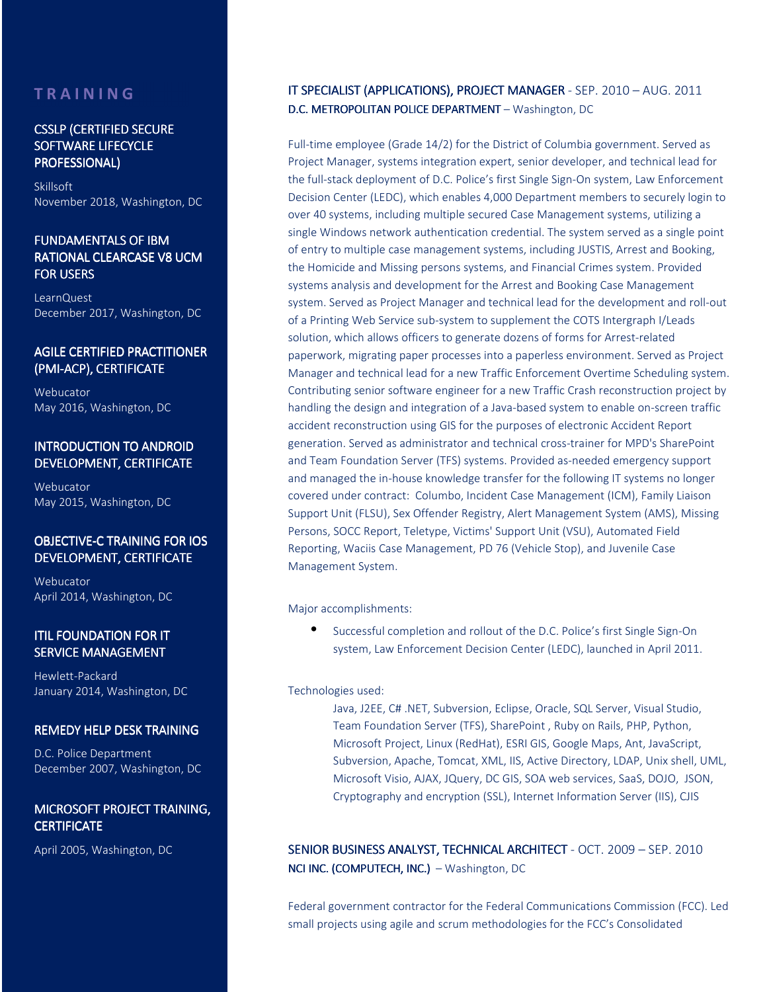# **T R A I N I N G**

#### CSSLP (CERTIFIED SECURE SOFTWARE LIFECYCLE PROFESSIONAL) PROFESSIONAL)

Skillsoft November 2018, Washington, DC

## FUNDAMENTALS OF IBM RATIONAL CLEARCASE V8 UCM FOR USERS

LearnQuest December 2017, Washington, DC

### AGILE CERTIFIED PRACTITIONER (PMI-ACP), CERTIFICATE

Webucator May 2016, Washington, DC

#### **INTRODUCTION TO ANDROID** DEVELOPMENT, CERTIFICATE

Webucator May 2015, Washington, DC

### OBJECTIVE-C TRAINING FOR IOS DEVELOPMENT, CERTIFICATE

Webucator April 2014, Washington, DC

## **ITIL FOUNDATION FOR IT SERVICE MANAGEMENT**

Hewlett-Packard January 2014, Washington, DC

#### **REMEDY HELP DESK TRAINING**

D.C. Police Department December 2007, Washington, DC

#### MICROSOFT PROJECT TRAINING, **CERTIFICATE**

April 2005, Washington, DC

## IT SPECIALIST (APPLICATIONS), PROJECT MANAGER - SEP. 2010 – AUG. 2011 D.C. METROPOLITAN POLICE DEPARTMENT – Washington, DC

Full-time employee (Grade 14/2) for the District of Columbia government. Served as Project Manager, systems integration expert, senior developer, and technical lead for the full-stack deployment of D.C. Police's first Single Sign-On system, Law Enforcement Decision Center (LEDC), which enables 4,000 Department members to securely login to over 40 systems, including multiple secured Case Management systems, utilizing a single Windows network authentication credential. The system served as a single point of entry to multiple case management systems, including JUSTIS, Arrest and Booking, the Homicide and Missing persons systems, and Financial Crimes system. Provided systems analysis and development for the Arrest and Booking Case Management system. Served as Project Manager and technical lead for the development and roll-out of a Printing Web Service sub-system to supplement the COTS Intergraph I/Leads solution, which allows officers to generate dozens of forms for Arrest-related paperwork, migrating paper processes into a paperless environment. Served as Project Manager and technical lead for a new Traffic Enforcement Overtime Scheduling system. Contributing senior software engineer for a new Traffic Crash reconstruction project by handling the design and integration of a Java-based system to enable on-screen traffic accident reconstruction using GIS for the purposes of electronic Accident Report generation. Served as administrator and technical cross-trainer for MPD's SharePoint and Team Foundation Server (TFS) systems. Provided as-needed emergency support and managed the in-house knowledge transfer for the following IT systems no longer covered under contract: Columbo, Incident Case Management (ICM), Family Liaison Support Unit (FLSU), Sex Offender Registry, Alert Management System (AMS), Missing Persons, SOCC Report, Teletype, Victims' Support Unit (VSU), Automated Field Reporting, Waciis Case Management, PD 76 (Vehicle Stop), and Juvenile Case Management System.

#### Major accomplishments:

• Successful completion and rollout of the D.C. Police's first Single Sign-On system, Law Enforcement Decision Center (LEDC), launched in April 2011.

#### Technologies used:

Java, J2EE, C# .NET, Subversion, Eclipse, Oracle, SQL Server, Visual Studio, Team Foundation Server (TFS), SharePoint , Ruby on Rails, PHP, Python, Microsoft Project, Linux (RedHat), ESRI GIS, Google Maps, Ant, JavaScript, Subversion, Apache, Tomcat, XML, IIS, Active Directory, LDAP, Unix shell, UML, Microsoft Visio, AJAX, JQuery, DC GIS, SOA web services, SaaS, DOJO, JSON, Cryptography and encryption (SSL), Internet Information Server (IIS), CJIS

SENIOR BUSINESS ANALYST, TECHNICAL ARCHITECT - OCT. 2009 - SEP. 2010 NCI INC. (COMPUTECH, INC.) – Washington, DC

Federal government contractor for the Federal Communications Commission (FCC). Led small projects using agile and scrum methodologies for the FCC's Consolidated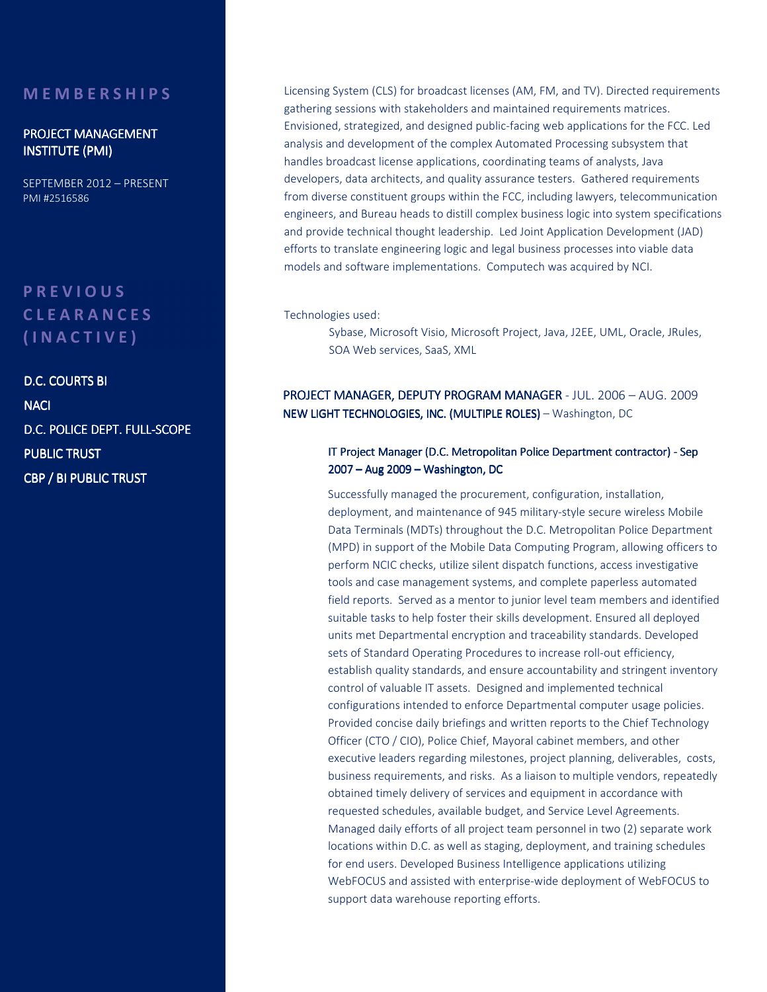## **M E M B E R S H I P S**

### PROJECT MANAGEMENT **INSTITUTE (PMI)**

SEPTEMBER 2012 – PRESENT PMI #2516586

# **P R E V I O U S C L E A R A N C E S ( I N A C T I V E )**

D.C. COURTS BI **NACI** D.C. POLICE DEPT. FULL-SCOPE PUBLIC TRUST CBP / BI PUBLIC TRUST

Licensing System (CLS) for broadcast licenses (AM, FM, and TV). Directed requirements gathering sessions with stakeholders and maintained requirements matrices. Envisioned, strategized, and designed public-facing web applications for the FCC. Led analysis and development of the complex Automated Processing subsystem that handles broadcast license applications, coordinating teams of analysts, Java developers, data architects, and quality assurance testers. Gathered requirements from diverse constituent groups within the FCC, including lawyers, telecommunication engineers, and Bureau heads to distill complex business logic into system specifications and provide technical thought leadership. Led Joint Application Development (JAD) efforts to translate engineering logic and legal business processes into viable data models and software implementations. Computech was acquired by NCI.

Technologies used:

Sybase, Microsoft Visio, Microsoft Project, Java, J2EE, UML, Oracle, JRules, SOA Web services, SaaS, XML

PROJECT MANAGER, DEPUTY PROGRAM MANAGER - JUL. 2006 – AUG. 2009 NEW LIGHT TECHNOLOGIES, INC. (MULTIPLE ROLES) - Washington, DC

#### IT Project Manager (D.C. Metropolitan Police Department contractor) - Sep 2007 – Aug 2009 – Washington, DC

Successfully managed the procurement, configuration, installation, deployment, and maintenance of 945 military-style secure wireless Mobile Data Terminals (MDTs) throughout the D.C. Metropolitan Police Department (MPD) in support of the Mobile Data Computing Program, allowing officers to perform NCIC checks, utilize silent dispatch functions, access investigative tools and case management systems, and complete paperless automated field reports. Served as a mentor to junior level team members and identified suitable tasks to help foster their skills development. Ensured all deployed units met Departmental encryption and traceability standards. Developed sets of Standard Operating Procedures to increase roll-out efficiency, establish quality standards, and ensure accountability and stringent inventory control of valuable IT assets. Designed and implemented technical configurations intended to enforce Departmental computer usage policies. Provided concise daily briefings and written reports to the Chief Technology Officer (CTO / CIO), Police Chief, Mayoral cabinet members, and other executive leaders regarding milestones, project planning, deliverables, costs, business requirements, and risks. As a liaison to multiple vendors, repeatedly obtained timely delivery of services and equipment in accordance with requested schedules, available budget, and Service Level Agreements. Managed daily efforts of all project team personnel in two (2) separate work locations within D.C. as well as staging, deployment, and training schedules for end users. Developed Business Intelligence applications utilizing WebFOCUS and assisted with enterprise-wide deployment of WebFOCUS to support data warehouse reporting efforts.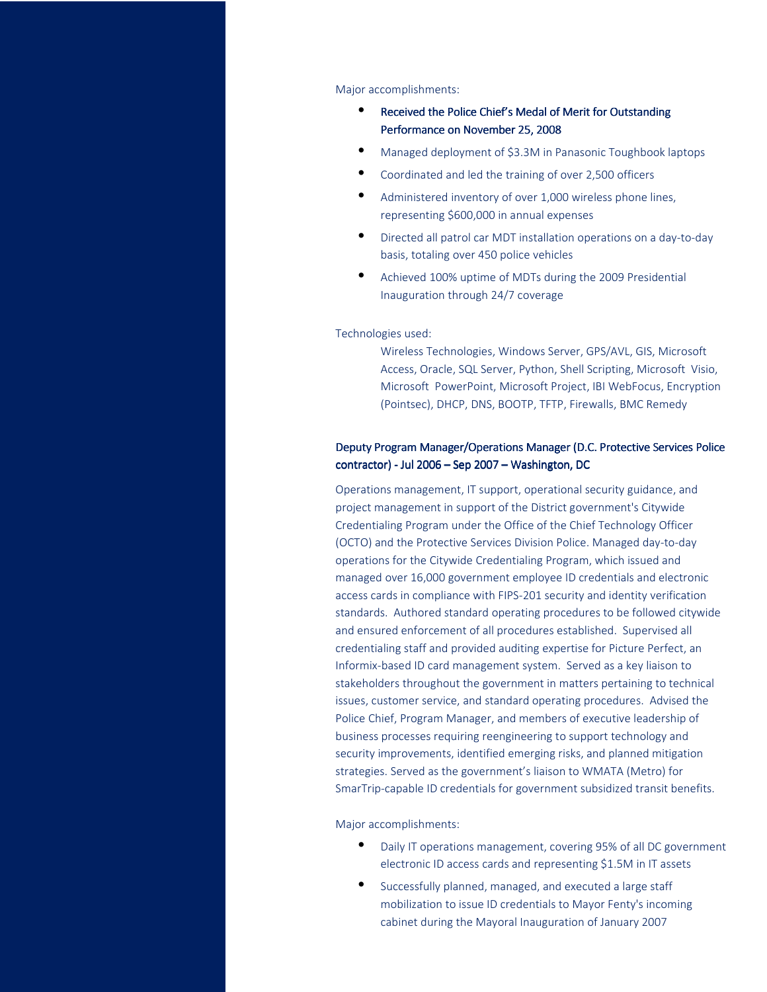#### Major accomplishments:

- Received the Police Chief's Medal of Merit for Outstanding Performance on November 25, 2008
- Managed deployment of \$3.3M in Panasonic Toughbook laptops
- Coordinated and led the training of over 2,500 officers
- Administered inventory of over 1,000 wireless phone lines, representing \$600,000 in annual expenses
- Directed all patrol car MDT installation operations on a day-to-day basis, totaling over 450 police vehicles
- Achieved 100% uptime of MDTs during the 2009 Presidential Inauguration through 24/7 coverage

#### Technologies used:

Wireless Technologies, Windows Server, GPS/AVL, GIS, Microsoft Access, Oracle, SQL Server, Python, Shell Scripting, Microsoft Visio, Microsoft PowerPoint, Microsoft Project, IBI WebFocus, Encryption (Pointsec), DHCP, DNS, BOOTP, TFTP, Firewalls, BMC Remedy

### Deputy Program Manager/Operations Manager (D.C. Protective Services Police contractor) - Jul 2006 – Sep 2007 – Washington, DC

Operations management, IT support, operational security guidance, and project management in support of the District government's Citywide Credentialing Program under the Office of the Chief Technology Officer (OCTO) and the Protective Services Division Police. Managed day-to-day operations for the Citywide Credentialing Program, which issued and managed over 16,000 government employee ID credentials and electronic access cards in compliance with FIPS-201 security and identity verification standards. Authored standard operating procedures to be followed citywide and ensured enforcement of all procedures established. Supervised all credentialing staff and provided auditing expertise for Picture Perfect, an Informix-based ID card management system. Served as a key liaison to stakeholders throughout the government in matters pertaining to technical issues, customer service, and standard operating procedures. Advised the Police Chief, Program Manager, and members of executive leadership of business processes requiring reengineering to support technology and security improvements, identified emerging risks, and planned mitigation strategies. Served as the government's liaison to WMATA (Metro) for SmarTrip-capable ID credentials for government subsidized transit benefits.

Major accomplishments:

- Daily IT operations management, covering 95% of all DC government electronic ID access cards and representing \$1.5M in IT assets
- Successfully planned, managed, and executed a large staff mobilization to issue ID credentials to Mayor Fenty's incoming cabinet during the Mayoral Inauguration of January 2007